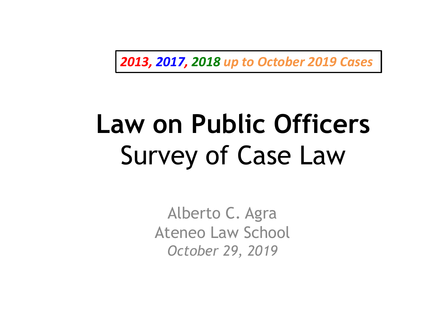*2013, 2017, 2018 up to October 2019 Cases*

### **Law on Public Officers** Survey of Case Law

Alberto C. Agra Ateneo Law School *October 29, 2019*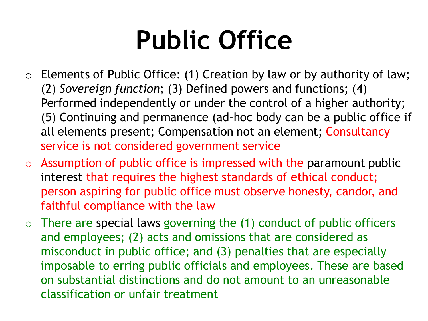- $\circ$  Elements of Public Office: (1) Creation by law or by authority of law; (2) *Sovereign function*; (3) Defined powers and functions; (4) Performed independently or under the control of a higher authority; (5) Continuing and permanence (ad-hoc body can be a public office if all elements present; Compensation not an element; Consultancy service is not considered government service
- $\circ$  Assumption of public office is impressed with the paramount public interest that requires the highest standards of ethical conduct; person aspiring for public office must observe honesty, candor, and faithful compliance with the law
- $\circ$  There are special laws governing the (1) conduct of public officers and employees; (2) acts and omissions that are considered as misconduct in public office; and (3) penalties that are especially imposable to erring public officials and employees. These are based on substantial distinctions and do not amount to an unreasonable classification or unfair treatment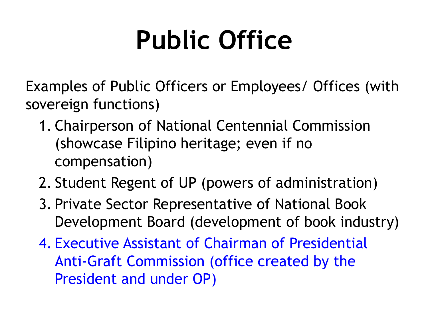Examples of Public Officers or Employees/ Offices (with sovereign functions)

- 1. Chairperson of National Centennial Commission (showcase Filipino heritage; even if no compensation)
- 2. Student Regent of UP (powers of administration)
- 3. Private Sector Representative of National Book Development Board (development of book industry)
- 4. Executive Assistant of Chairman of Presidential Anti-Graft Commission (office created by the President and under OP)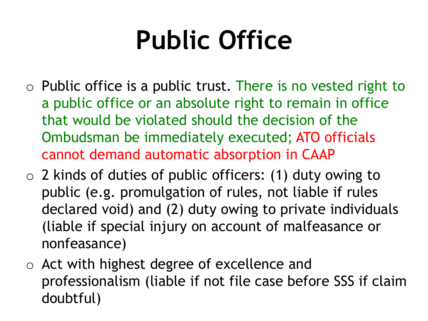- $\circ$  Public office is a public trust. There is no vested right to a public office or an absolute right to remain in office that would be violated should the decision of the Ombudsman be immediately executed; ATO officials cannot demand automatic absorption in CAAP
- o 2 kinds of duties of public officers: (1) duty owing to public (e.g. promulgation of rules, not liable if rules declared void) and (2) duty owing to private individuals (liable if special injury on account of malfeasance or nonfeasance)
- o Act with highest degree of excellence and professionalism (liable if not file case before SSS if claim doubtful)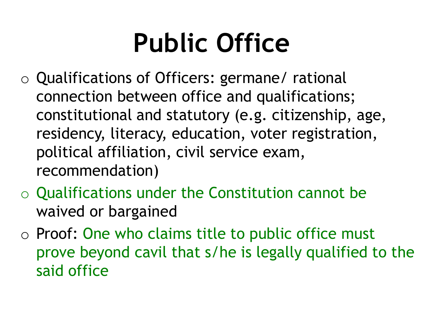- o Qualifications of Officers: germane/ rational connection between office and qualifications; constitutional and statutory (e.g. citizenship, age, residency, literacy, education, voter registration, political affiliation, civil service exam, recommendation)
- o Qualifications under the Constitution cannot be waived or bargained
- o Proof: One who claims title to public office must prove beyond cavil that s/he is legally qualified to the said office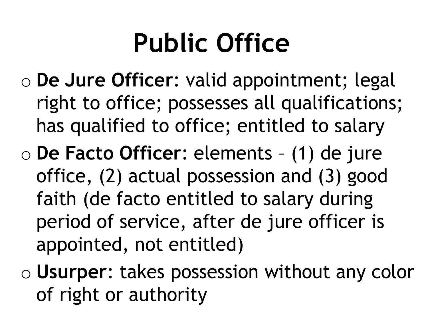- o **De Jure Officer**: valid appointment; legal right to office; possesses all qualifications; has qualified to office; entitled to salary
- o **De Facto Officer**: elements (1) de jure office, (2) actual possession and (3) good faith (de facto entitled to salary during period of service, after de jure officer is appointed, not entitled)
- o **Usurper**: takes possession without any color of right or authority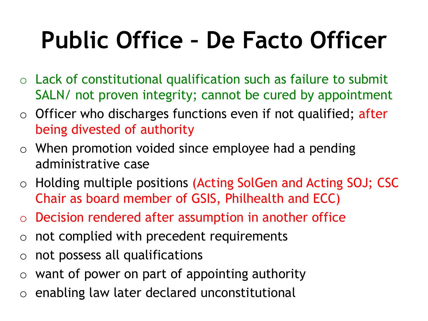#### **Public Office – De Facto Officer**

- $\circ$  Lack of constitutional qualification such as failure to submit SALN/ not proven integrity; cannot be cured by appointment
- $\circ$  Officer who discharges functions even if not qualified; after being divested of authority
- $\circ$  When promotion voided since employee had a pending administrative case
- o Holding multiple positions (Acting SolGen and Acting SOJ; CSC Chair as board member of GSIS, Philhealth and ECC)
- o Decision rendered after assumption in another office
- $\circ$  not complied with precedent requirements
- o not possess all qualifications
- $\circ$  want of power on part of appointing authority
- o enabling law later declared unconstitutional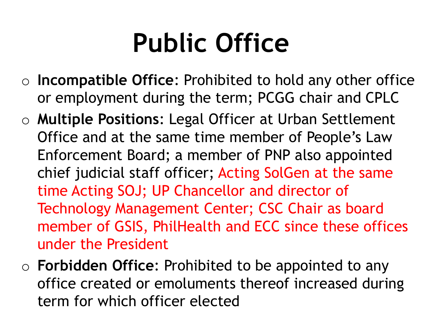- o **Incompatible Office**: Prohibited to hold any other office or employment during the term; PCGG chair and CPLC
- o **Multiple Positions**: Legal Officer at Urban Settlement Office and at the same time member of People's Law Enforcement Board; a member of PNP also appointed chief judicial staff officer; Acting SolGen at the same time Acting SOJ; UP Chancellor and director of Technology Management Center; CSC Chair as board member of GSIS, PhilHealth and ECC since these offices under the President
- o **Forbidden Office**: Prohibited to be appointed to any office created or emoluments thereof increased during term for which officer elected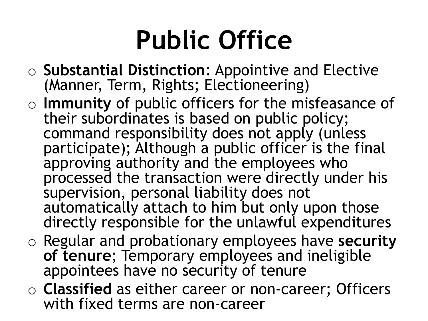- o **Substantial Distinction**: Appointive and Elective (Manner, Term, Rights; Electioneering)
- o **Immunity** of public officers for the misfeasance of their subordinates is based on public policy; command responsibility does not apply (unless participate); Although a public officer is the final approving authority and the employees who processed the transaction were directly under his supervision, personal liability does not automatically attach to him but only upon those directly responsible for the unlawful expenditures
- o Regular and probationary employees have **security of tenure**; Temporary employees and ineligible appointees have no security of tenure
- o **Classified** as either career or non-career; Officers with fixed terms are non-career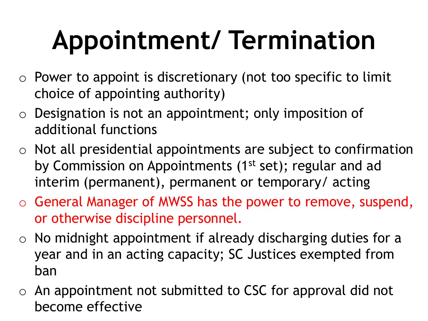- $\circ$  Power to appoint is discretionary (not too specific to limit choice of appointing authority)
- $\circ$  Designation is not an appointment; only imposition of additional functions
- $\circ$  Not all presidential appointments are subject to confirmation by Commission on Appointments (1<sup>st</sup> set); regular and ad interim (permanent), permanent or temporary/ acting
- o General Manager of MWSS has the power to remove, suspend, or otherwise discipline personnel.
- $\circ$  No midnight appointment if already discharging duties for a year and in an acting capacity; SC Justices exempted from ban
- $\circ$  An appointment not submitted to CSC for approval did not become effective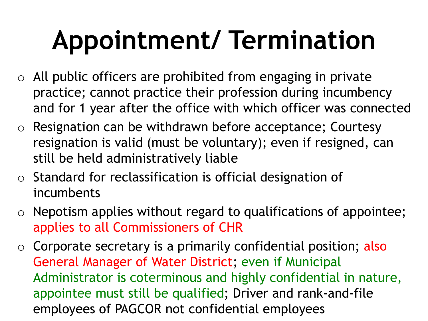- $\circ$  All public officers are prohibited from engaging in private practice; cannot practice their profession during incumbency and for 1 year after the office with which officer was connected
- o Resignation can be withdrawn before acceptance; Courtesy resignation is valid (must be voluntary); even if resigned, can still be held administratively liable
- o Standard for reclassification is official designation of incumbents
- $\circ$  Nepotism applies without regard to qualifications of appointee; applies to all Commissioners of CHR
- $\circ$  Corporate secretary is a primarily confidential position; also General Manager of Water District; even if Municipal Administrator is coterminous and highly confidential in nature, appointee must still be qualified; Driver and rank-and-file employees of PAGCOR not confidential employees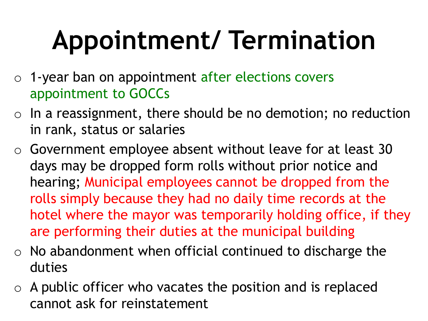- o 1-year ban on appointment after elections covers appointment to GOCCs
- $\circ$  In a reassignment, there should be no demotion; no reduction in rank, status or salaries
- o Government employee absent without leave for at least 30 days may be dropped form rolls without prior notice and hearing; Municipal employees cannot be dropped from the rolls simply because they had no daily time records at the hotel where the mayor was temporarily holding office, if they are performing their duties at the municipal building
- $\circ$  No abandonment when official continued to discharge the duties
- $\circ$  A public officer who vacates the position and is replaced cannot ask for reinstatement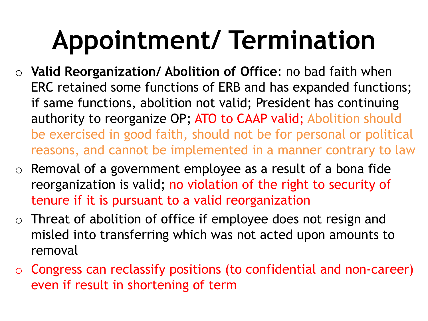- o **Valid Reorganization/ Abolition of Office**: no bad faith when ERC retained some functions of ERB and has expanded functions; if same functions, abolition not valid; President has continuing authority to reorganize OP; ATO to CAAP valid; Abolition should be exercised in good faith, should not be for personal or political reasons, and cannot be implemented in a manner contrary to law
- $\circ$  Removal of a government employee as a result of a bona fide reorganization is valid; no violation of the right to security of tenure if it is pursuant to a valid reorganization
- $\circ$  Threat of abolition of office if employee does not resign and misled into transferring which was not acted upon amounts to removal
- $\circ$  Congress can reclassify positions (to confidential and non-career) even if result in shortening of term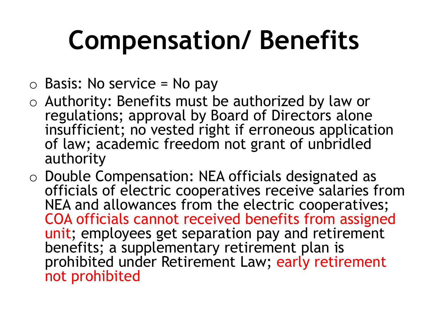- $\circ$  Basis: No service = No pay
- o Authority: Benefits must be authorized by law or regulations; approval by Board of Directors alone insufficient; no vested right if erroneous application of law; academic freedom not grant of unbridled authority
- o Double Compensation: NEA officials designated as officials of electric cooperatives receive salaries from NEA and allowances from the electric cooperatives; COA officials cannot received benefits from assigned unit; employees get separation pay and retirement benefits; a supplementary retirement plan is prohibited under Retirement Law; early retirement not prohibited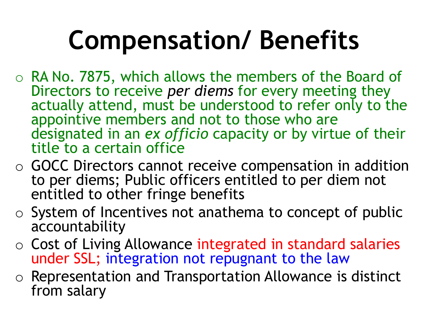- o RA No. 7875, which allows the members of the Board of Directors to receive *per diems* for every meeting they actually attend, must be understood to refer only to the appointive members and not to those who are designated in an *ex officio* capacity or by virtue of their title to a certain office
- o GOCC Directors cannot receive compensation in addition to per diems; Public officers entitled to per diem not entitled to other fringe benefits
- $\circ$  System of Incentives not anathema to concept of public accountability
- $\circ$  Cost of Living Allowance integrated in standard salaries under SSL; integration not repugnant to the law
- o Representation and Transportation Allowance is distinct from salary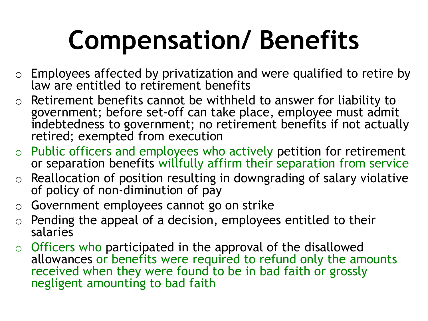- $\circ$  Employees affected by privatization and were qualified to retire by law are entitled to retirement benefits
- $\circ$  Retirement benefits cannot be withheld to answer for liability to government; before set-off can take place, employee must admit indebtedness to government; no retirement benefits if not actually retired; exempted from execution
- $\circ$  Public officers and employees who actively petition for retirement or separation benefits willfully affirm their separation from service
- $\circ$  Reallocation of position resulting in downgrading of salary violative of policy of non-diminution of pay
- o Government employees cannot go on strike
- $\circ$  Pending the appeal of a decision, employees entitled to their salaries
- $\circ$  Officers who participated in the approval of the disallowed allowances or benefits were required to refund only the amounts received when they were found to be in bad faith or grossly negligent amounting to bad faith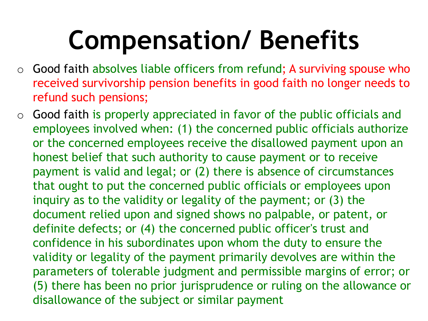- $\circ$  Good faith absolves liable officers from refund; A surviving spouse who received survivorship pension benefits in good faith no longer needs to refund such pensions;
- $\circ$  Good faith is properly appreciated in favor of the public officials and employees involved when: (1) the concerned public officials authorize or the concerned employees receive the disallowed payment upon an honest belief that such authority to cause payment or to receive payment is valid and legal; or (2) there is absence of circumstances that ought to put the concerned public officials or employees upon inquiry as to the validity or legality of the payment; or (3) the document relied upon and signed shows no palpable, or patent, or definite defects; or (4) the concerned public officer's trust and confidence in his subordinates upon whom the duty to ensure the validity or legality of the payment primarily devolves are within the parameters of tolerable judgment and permissible margins of error; or (5) there has been no prior jurisprudence or ruling on the allowance or disallowance of the subject or similar payment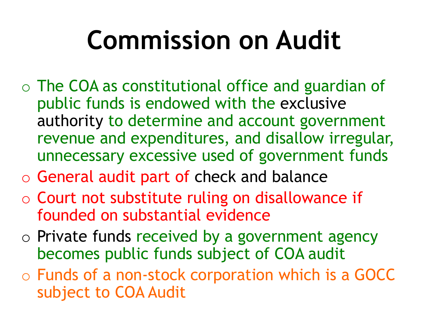# **Commission on Audit**

- o The COA as constitutional office and guardian of public funds is endowed with the exclusive authority to determine and account government revenue and expenditures, and disallow irregular, unnecessary excessive used of government funds
- o General audit part of check and balance
- o Court not substitute ruling on disallowance if founded on substantial evidence
- o Private funds received by a government agency becomes public funds subject of COA audit
- o Funds of a non-stock corporation which is a GOCC subject to COA Audit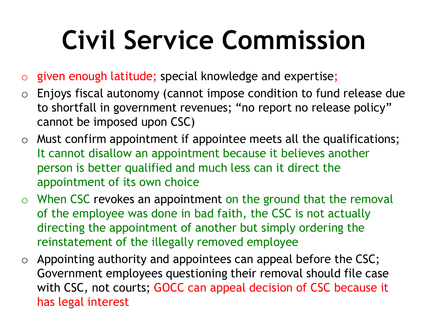# **Civil Service Commission**

- o given enough latitude; special knowledge and expertise;
- $\circ$  Enjoys fiscal autonomy (cannot impose condition to fund release due to shortfall in government revenues; "no report no release policy" cannot be imposed upon CSC)
- $\circ$  Must confirm appointment if appointee meets all the qualifications; It cannot disallow an appointment because it believes another person is better qualified and much less can it direct the appointment of its own choice
- $\circ$  When CSC revokes an appointment on the ground that the removal of the employee was done in bad faith, the CSC is not actually directing the appointment of another but simply ordering the reinstatement of the illegally removed employee
- $\circ$  Appointing authority and appointees can appeal before the CSC; Government employees questioning their removal should file case with CSC, not courts; GOCC can appeal decision of CSC because it has legal interest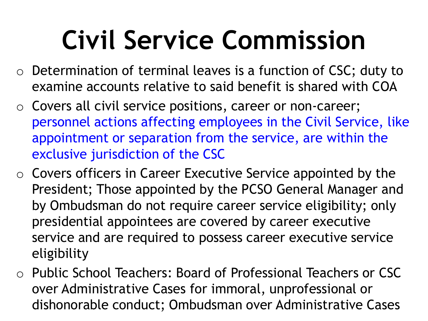### **Civil Service Commission**

- $\circ$  Determination of terminal leaves is a function of CSC; duty to examine accounts relative to said benefit is shared with COA
- o Covers all civil service positions, career or non-career; personnel actions affecting employees in the Civil Service, like appointment or separation from the service, are within the exclusive jurisdiction of the CSC
- $\circ$  Covers officers in Career Executive Service appointed by the President; Those appointed by the PCSO General Manager and by Ombudsman do not require career service eligibility; only presidential appointees are covered by career executive service and are required to possess career executive service eligibility
- o Public School Teachers: Board of Professional Teachers or CSC over Administrative Cases for immoral, unprofessional or dishonorable conduct; Ombudsman over Administrative Cases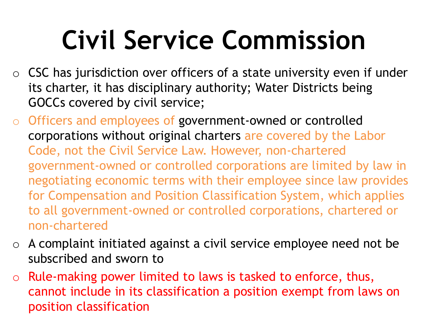# **Civil Service Commission**

- $\circ$  CSC has jurisdiction over officers of a state university even if under its charter, it has disciplinary authority; Water Districts being GOCCs covered by civil service;
- o Officers and employees of government-owned or controlled corporations without original charters are covered by the Labor Code, not the Civil Service Law. However, non-chartered government-owned or controlled corporations are limited by law in negotiating economic terms with their employee since law provides for Compensation and Position Classification System, which applies to all government-owned or controlled corporations, chartered or non-chartered
- $\circ$  A complaint initiated against a civil service employee need not be subscribed and sworn to
- o Rule-making power limited to laws is tasked to enforce, thus, cannot include in its classification a position exempt from laws on position classification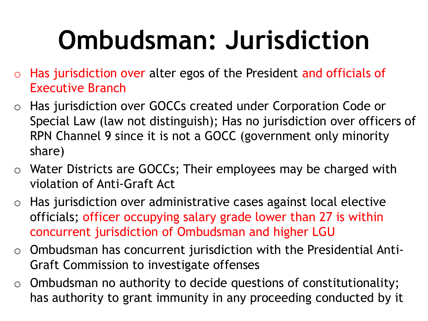# **Ombudsman: Jurisdiction**

- $\circ$  Has jurisdiction over alter egos of the President and officials of Executive Branch
- o Has jurisdiction over GOCCs created under Corporation Code or Special Law (law not distinguish); Has no jurisdiction over officers of RPN Channel 9 since it is not a GOCC (government only minority share)
- o Water Districts are GOCCs; Their employees may be charged with violation of Anti-Graft Act
- $\circ$  Has jurisdiction over administrative cases against local elective officials; officer occupying salary grade lower than 27 is within concurrent jurisdiction of Ombudsman and higher LGU
- $\circ$  Ombudsman has concurrent jurisdiction with the Presidential Anti-Graft Commission to investigate offenses
- $\circ$  Ombudsman no authority to decide questions of constitutionality; has authority to grant immunity in any proceeding conducted by it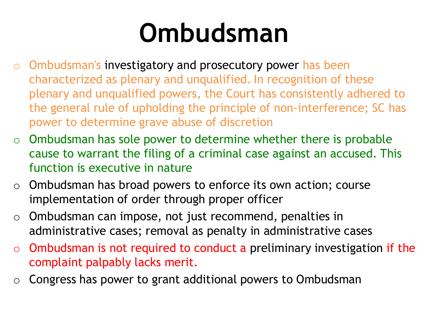#### **Ombudsman**

- o Ombudsman's investigatory and prosecutory power has been characterized as plenary and unqualified. In recognition of these plenary and unqualified powers, the Court has consistently adhered to the general rule of upholding the principle of non-interference; SC has power to determine grave abuse of discretion
- $\circ$  Ombudsman has sole power to determine whether there is probable cause to warrant the filing of a criminal case against an accused. This function is executive in nature
- $\circ$  Ombudsman has broad powers to enforce its own action; course implementation of order through proper officer
- $\circ$  Ombudsman can impose, not just recommend, penalties in administrative cases; removal as penalty in administrative cases
- $\circ$  Ombudsman is not required to conduct a preliminary investigation if the complaint palpably lacks merit.
- $\circ$  Congress has power to grant additional powers to Ombudsman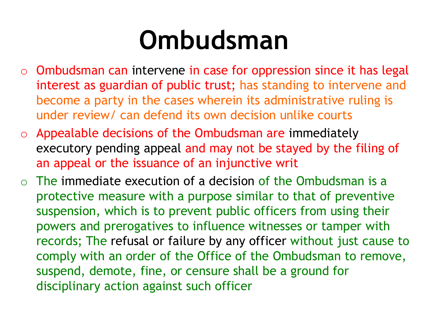#### **Ombudsman**

- $\circ$  Ombudsman can intervene in case for oppression since it has legal interest as guardian of public trust; has standing to intervene and become a party in the cases wherein its administrative ruling is under review/ can defend its own decision unlike courts
- $\circ$  Appealable decisions of the Ombudsman are immediately executory pending appeal and may not be stayed by the filing of an appeal or the issuance of an injunctive writ
- $\circ$  The immediate execution of a decision of the Ombudsman is a protective measure with a purpose similar to that of preventive suspension, which is to prevent public officers from using their powers and prerogatives to influence witnesses or tamper with records; The refusal or failure by any officer without just cause to comply with an order of the Office of the Ombudsman to remove, suspend, demote, fine, or censure shall be a ground for disciplinary action against such officer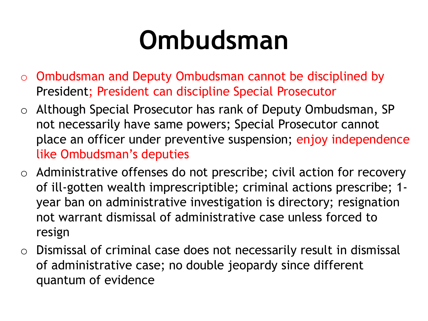#### **Ombudsman**

- o Ombudsman and Deputy Ombudsman cannot be disciplined by President; President can discipline Special Prosecutor
- o Although Special Prosecutor has rank of Deputy Ombudsman, SP not necessarily have same powers; Special Prosecutor cannot place an officer under preventive suspension; enjoy independence like Ombudsman's deputies
- o Administrative offenses do not prescribe; civil action for recovery of ill-gotten wealth imprescriptible; criminal actions prescribe; 1 year ban on administrative investigation is directory; resignation not warrant dismissal of administrative case unless forced to resign
- o Dismissal of criminal case does not necessarily result in dismissal of administrative case; no double jeopardy since different quantum of evidence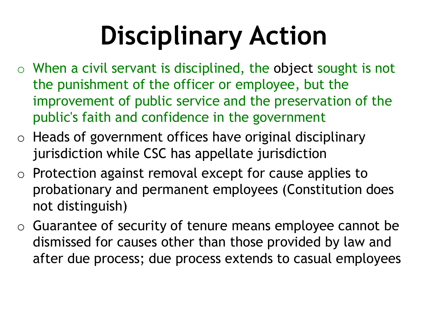- $\circ$  When a civil servant is disciplined, the object sought is not the punishment of the officer or employee, but the improvement of public service and the preservation of the public's faith and confidence in the government
- o Heads of government offices have original disciplinary jurisdiction while CSC has appellate jurisdiction
- o Protection against removal except for cause applies to probationary and permanent employees (Constitution does not distinguish)
- o Guarantee of security of tenure means employee cannot be dismissed for causes other than those provided by law and after due process; due process extends to casual employees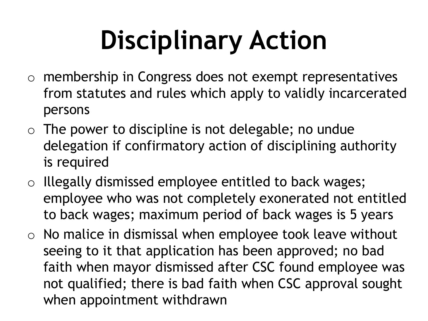- o membership in Congress does not exempt representatives from statutes and rules which apply to validly incarcerated persons
- $\circ$  The power to discipline is not delegable; no undue delegation if confirmatory action of disciplining authority is required
- o Illegally dismissed employee entitled to back wages; employee who was not completely exonerated not entitled to back wages; maximum period of back wages is 5 years
- $\circ$  No malice in dismissal when employee took leave without seeing to it that application has been approved; no bad faith when mayor dismissed after CSC found employee was not qualified; there is bad faith when CSC approval sought when appointment withdrawn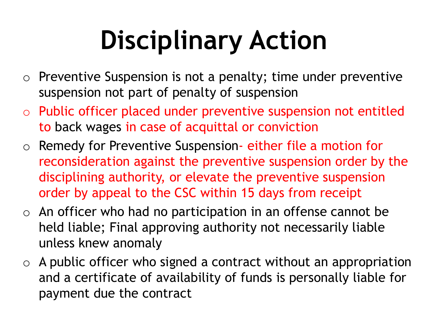- $\circ$  Preventive Suspension is not a penalty; time under preventive suspension not part of penalty of suspension
- o Public officer placed under preventive suspension not entitled to back wages in case of acquittal or conviction
- o Remedy for Preventive Suspension- either file a motion for reconsideration against the preventive suspension order by the disciplining authority, or elevate the preventive suspension order by appeal to the CSC within 15 days from receipt
- $\circ$  An officer who had no participation in an offense cannot be held liable; Final approving authority not necessarily liable unless knew anomaly
- $\circ$  A public officer who signed a contract without an appropriation and a certificate of availability of funds is personally liable for payment due the contract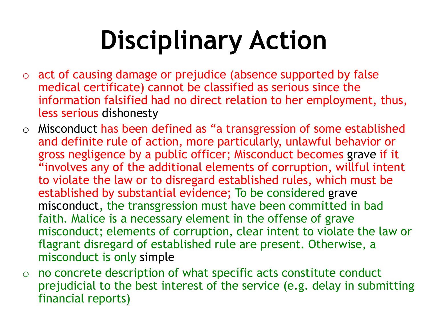- o act of causing damage or prejudice (absence supported by false medical certificate) cannot be classified as serious since the information falsified had no direct relation to her employment, thus, less serious dishonesty
- o Misconduct has been defined as "a transgression of some established and definite rule of action, more particularly, unlawful behavior or gross negligence by a public officer; Misconduct becomes grave if it "involves any of the additional elements of corruption, willful intent to violate the law or to disregard established rules, which must be established by substantial evidence; To be considered grave misconduct, the transgression must have been committed in bad faith. Malice is a necessary element in the offense of grave misconduct; elements of corruption, clear intent to violate the law or flagrant disregard of established rule are present. Otherwise, a misconduct is only simple
- o no concrete description of what specific acts constitute conduct prejudicial to the best interest of the service (e.g. delay in submitting financial reports)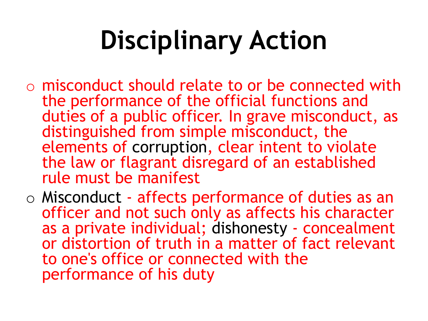- o misconduct should relate to or be connected with the performance of the official functions and duties of a public officer. In grave misconduct, as distinguished from simple misconduct, the elements of corruption, clear intent to violate the law or flagrant disregard of an established rule must be manifest
- o Misconduct affects performance of duties as an officer and not such only as affects his character as a private individual; dishonesty - concealment or distortion of truth in a matter of fact relevant to one's office or connected with the performance of his duty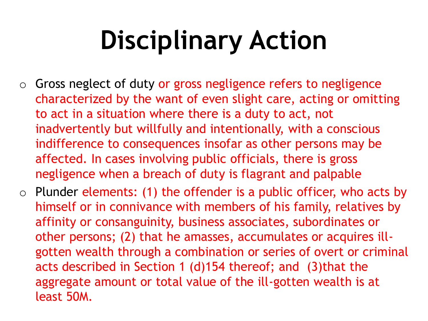- $\circ$  Gross neglect of duty or gross negligence refers to negligence characterized by the want of even slight care, acting or omitting to act in a situation where there is a duty to act, not inadvertently but willfully and intentionally, with a conscious indifference to consequences insofar as other persons may be affected. In cases involving public officials, there is gross negligence when a breach of duty is flagrant and palpable
- $\circ$  Plunder elements: (1) the offender is a public officer, who acts by himself or in connivance with members of his family, relatives by affinity or consanguinity, business associates, subordinates or other persons; (2) that he amasses, accumulates or acquires illgotten wealth through a combination or series of overt or criminal acts described in Section 1 (d)154 thereof; and (3)that the aggregate amount or total value of the ill-gotten wealth is at least 50M.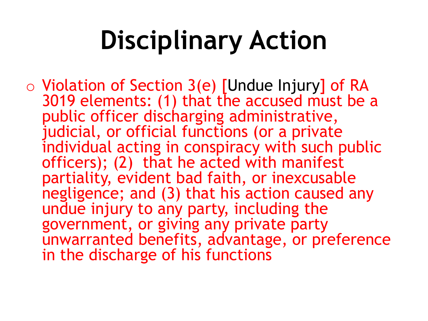o Violation of Section 3(e) [Undue Injury] of RA 3019 elements: (1) that the accused must be a public officer discharging administrative, judicial, or official functions (or a private individual acting in conspiracy with such public officers); (2) that he acted with manifest partiality, evident bad faith, or inexcusable negligence; and (3) that his action caused any undue injury to any party, including the government, or giving any private party unwarranted benefits, advantage, or preference in the discharge of his functions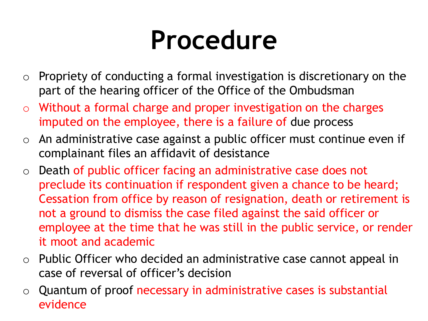#### **Procedure**

- $\circ$  Propriety of conducting a formal investigation is discretionary on the part of the hearing officer of the Office of the Ombudsman
- Without a formal charge and proper investigation on the charges imputed on the employee, there is a failure of due process
- $\circ$  An administrative case against a public officer must continue even if complainant files an affidavit of desistance
- o Death of public officer facing an administrative case does not preclude its continuation if respondent given a chance to be heard; Cessation from office by reason of resignation, death or retirement is not a ground to dismiss the case filed against the said officer or employee at the time that he was still in the public service, or render it moot and academic
- $\circ$  Public Officer who decided an administrative case cannot appeal in case of reversal of officer's decision
- $\circ$  Quantum of proof necessary in administrative cases is substantial evidence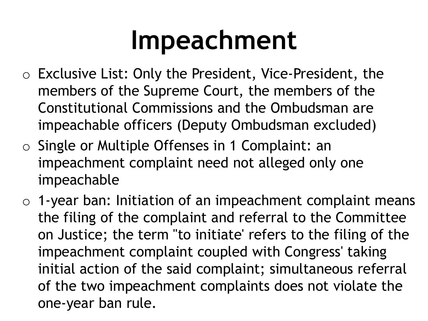#### **Impeachment**

- o Exclusive List: Only the President, Vice-President, the members of the Supreme Court, the members of the Constitutional Commissions and the Ombudsman are impeachable officers (Deputy Ombudsman excluded)
- o Single or Multiple Offenses in 1 Complaint: an impeachment complaint need not alleged only one impeachable
- $\circ$  1-year ban: Initiation of an impeachment complaint means the filing of the complaint and referral to the Committee on Justice; the term "to initiate' refers to the filing of the impeachment complaint coupled with Congress' taking initial action of the said complaint; simultaneous referral of the two impeachment complaints does not violate the one-year ban rule.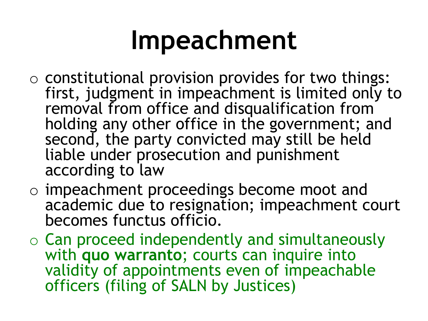### **Impeachment**

- $\circ$  constitutional provision provides for two things: first, judgment in impeachment is limited only to removal from office and disqualification from holding any other office in the government; and second, the party convicted may still be held liable under prosecution and punishment according to law
- o impeachment proceedings become moot and academic due to resignation; impeachment court becomes functus officio.
- o Can proceed independently and simultaneously with **quo warranto**; courts can inquire into validity of appointments even of impeachable officers (filing of SALN by Justices)